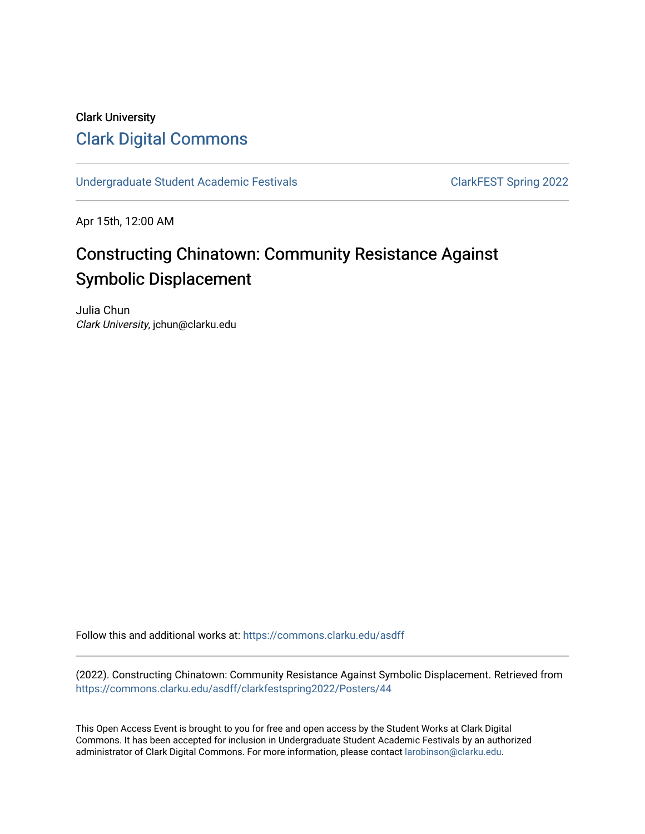#### Clark University [Clark Digital Commons](https://commons.clarku.edu/)

[Undergraduate Student Academic Festivals](https://commons.clarku.edu/asdff) ClarkFEST Spring 2022

Apr 15th, 12:00 AM

## Constructing Chinatown: Community Resistance Against Symbolic Displacement

Julia Chun Clark University, jchun@clarku.edu

Follow this and additional works at: [https://commons.clarku.edu/asdff](https://commons.clarku.edu/asdff?utm_source=commons.clarku.edu%2Fasdff%2Fclarkfestspring2022%2FPosters%2F44&utm_medium=PDF&utm_campaign=PDFCoverPages)

(2022). Constructing Chinatown: Community Resistance Against Symbolic Displacement. Retrieved from [https://commons.clarku.edu/asdff/clarkfestspring2022/Posters/44](https://commons.clarku.edu/asdff/clarkfestspring2022/Posters/44?utm_source=commons.clarku.edu%2Fasdff%2Fclarkfestspring2022%2FPosters%2F44&utm_medium=PDF&utm_campaign=PDFCoverPages) 

This Open Access Event is brought to you for free and open access by the Student Works at Clark Digital Commons. It has been accepted for inclusion in Undergraduate Student Academic Festivals by an authorized administrator of Clark Digital Commons. For more information, please contact [larobinson@clarku.edu](mailto:larobinson@clarku.edu).